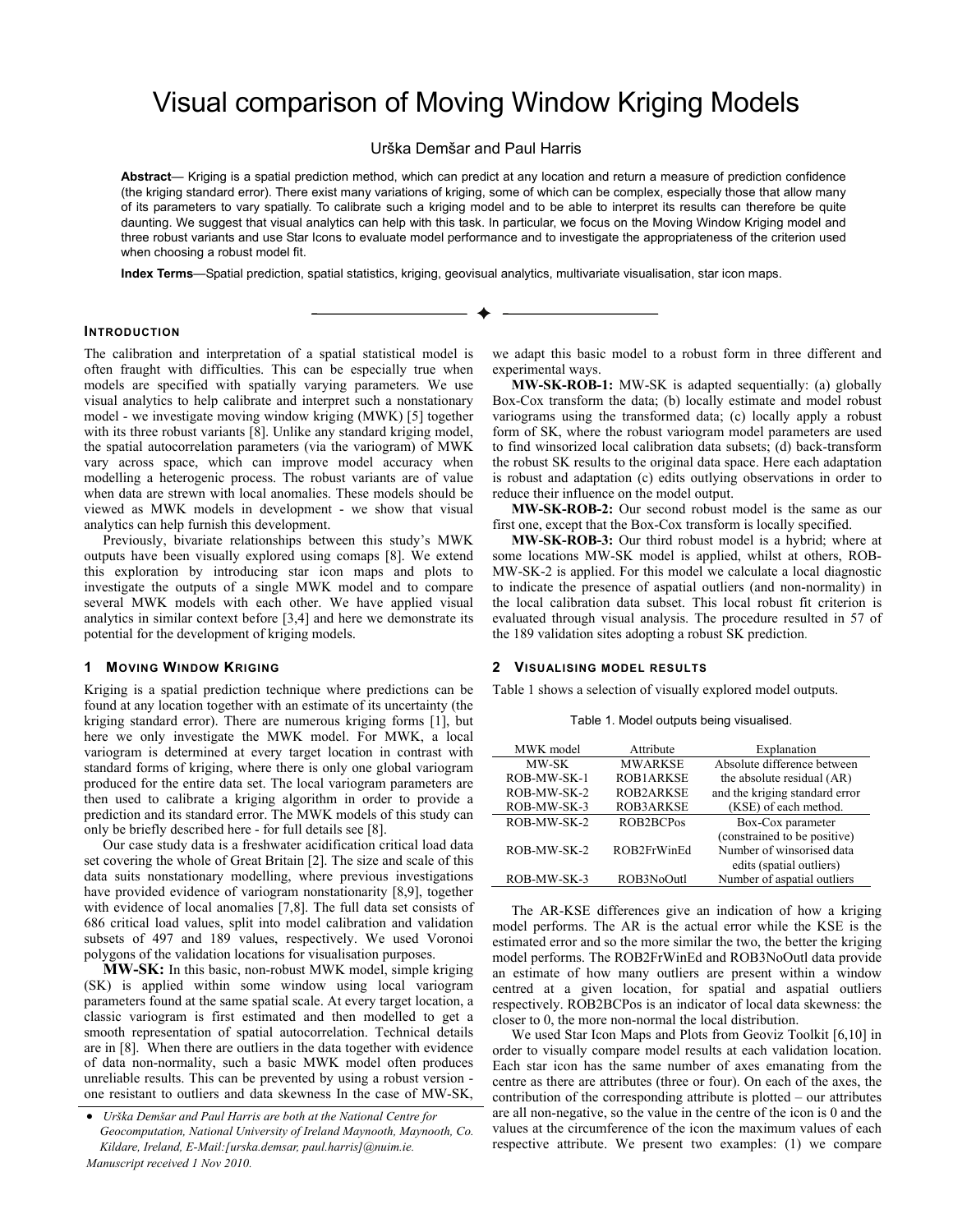# Visual comparison of Moving Window Kriging Models

Urška Demšar and Paul Harris

**Abstract**— Kriging is a spatial prediction method, which can predict at any location and return a measure of prediction confidence (the kriging standard error). There exist many variations of kriging, some of which can be complex, especially those that allow many of its parameters to vary spatially. To calibrate such a kriging model and to be able to interpret its results can therefore be quite daunting. We suggest that visual analytics can help with this task. In particular, we focus on the Moving Window Kriging model and three robust variants and use Star Icons to evaluate model performance and to investigate the appropriateness of the criterion used when choosing a robust model fit.

. ♣

**Index Terms**—Spatial prediction, spatial statistics, kriging, geovisual analytics, multivariate visualisation, star icon maps.

## **INTRODUCTION**

The calibration and interpretation of a spatial statistical model is often fraught with difficulties. This can be especially true when models are specified with spatially varying parameters. We use visual analytics to help calibrate and interpret such a nonstationary model - we investigate moving window kriging (MWK) [5] together with its three robust variants [8]. Unlike any standard kriging model, the spatial autocorrelation parameters (via the variogram) of MWK vary across space, which can improve model accuracy when modelling a heterogenic process. The robust variants are of value when data are strewn with local anomalies. These models should be viewed as MWK models in development - we show that visual analytics can help furnish this development.

Previously, bivariate relationships between this study's MWK outputs have been visually explored using comaps [8]. We extend this exploration by introducing star icon maps and plots to investigate the outputs of a single MWK model and to compare several MWK models with each other. We have applied visual analytics in similar context before [3,4] and here we demonstrate its potential for the development of kriging models.

#### **1 MOVING WINDOW KRIGING**

Kriging is a spatial prediction technique where predictions can be found at any location together with an estimate of its uncertainty (the kriging standard error). There are numerous kriging forms [1], but here we only investigate the MWK model. For MWK, a local variogram is determined at every target location in contrast with standard forms of kriging, where there is only one global variogram produced for the entire data set. The local variogram parameters are then used to calibrate a kriging algorithm in order to provide a prediction and its standard error. The MWK models of this study can only be briefly described here - for full details see [8].

Our case study data is a freshwater acidification critical load data set covering the whole of Great Britain [2]. The size and scale of this data suits nonstationary modelling, where previous investigations have provided evidence of variogram nonstationarity [8,9], together with evidence of local anomalies [7,8]. The full data set consists of 686 critical load values, split into model calibration and validation subsets of 497 and 189 values, respectively. We used Voronoi polygons of the validation locations for visualisation purposes.

**MW-SK:** In this basic, non-robust MWK model, simple kriging (SK) is applied within some window using local variogram parameters found at the same spatial scale. At every target location, a classic variogram is first estimated and then modelled to get a smooth representation of spatial autocorrelation. Technical details are in [8]. When there are outliers in the data together with evidence of data non-normality, such a basic MWK model often produces unreliable results. This can be prevented by using a robust version one resistant to outliers and data skewness In the case of MW-SK,

we adapt this basic model to a robust form in three different and experimental ways.

**MW-SK-ROB-1:** MW-SK is adapted sequentially: (a) globally Box-Cox transform the data; (b) locally estimate and model robust variograms using the transformed data; (c) locally apply a robust form of SK, where the robust variogram model parameters are used to find winsorized local calibration data subsets; (d) back-transform the robust SK results to the original data space. Here each adaptation is robust and adaptation (c) edits outlying observations in order to reduce their influence on the model output.

**MW-SK-ROB-2:** Our second robust model is the same as our first one, except that the Box-Cox transform is locally specified.

**MW-SK-ROB-3:** Our third robust model is a hybrid; where at some locations MW-SK model is applied, whilst at others, ROB-MW-SK-2 is applied. For this model we calculate a local diagnostic to indicate the presence of aspatial outliers (and non-normality) in the local calibration data subset. This local robust fit criterion is evaluated through visual analysis. The procedure resulted in 57 of the 189 validation sites adopting a robust SK prediction.

### **2 VISUALISING MODEL RESULTS**

Table 1 shows a selection of visually explored model outputs.

Table 1. Model outputs being visualised.

| MWK model   | Attribute        | Explanation                    |
|-------------|------------------|--------------------------------|
| MW-SK       | <b>MWARKSE</b>   | Absolute difference between    |
| ROB-MW-SK-1 | <b>ROB1ARKSE</b> | the absolute residual (AR)     |
| ROB-MW-SK-2 | ROB2ARKSE        | and the kriging standard error |
| ROB-MW-SK-3 | <b>ROB3ARKSE</b> | (KSE) of each method.          |
| ROB-MW-SK-2 | ROB2BCPos        | Box-Cox parameter              |
|             |                  | (constrained to be positive)   |
| ROB-MW-SK-2 | ROB2FrWinEd      | Number of winsorised data      |
|             |                  | edits (spatial outliers)       |
| ROB-MW-SK-3 | ROB3NoOutl       | Number of aspatial outliers    |

The AR-KSE differences give an indication of how a kriging model performs. The AR is the actual error while the KSE is the estimated error and so the more similar the two, the better the kriging model performs. The ROB2FrWinEd and ROB3NoOutl data provide an estimate of how many outliers are present within a window centred at a given location, for spatial and aspatial outliers respectively. ROB2BCPos is an indicator of local data skewness: the closer to 0, the more non-normal the local distribution.

We used Star Icon Maps and Plots from Geoviz Toolkit [6,10] in order to visually compare model results at each validation location. Each star icon has the same number of axes emanating from the centre as there are attributes (three or four). On each of the axes, the contribution of the corresponding attribute is plotted – our attributes are all non-negative, so the value in the centre of the icon is 0 and the values at the circumference of the icon the maximum values of each respective attribute. We present two examples: (1) we compare

<sup>•</sup> *Urška Demšar and Paul Harris are both at the National Centre for Geocomputation, National University of Ireland Maynooth, Maynooth, Co. Kildare, Ireland, E-Mail:[urska.demsar, paul.harris]@nuim.ie. Manuscript received 1 Nov 2010.*